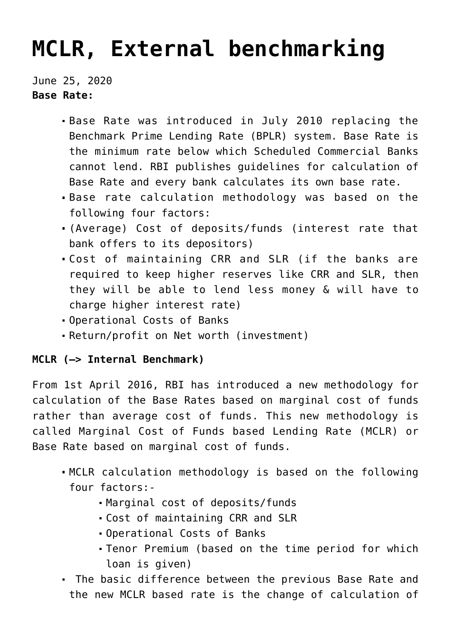## **[MCLR, External benchmarking](https://journalsofindia.com/mclr-external-benchmarking/)**

June 25, 2020 **Base Rate:**

- Base Rate was introduced in July 2010 replacing the Benchmark Prime Lending Rate (BPLR) system. Base Rate is the minimum rate below which Scheduled Commercial Banks cannot lend. RBI publishes guidelines for calculation of Base Rate and every bank calculates its own base rate.
- Base rate calculation methodology was based on the following four factors:
- (Average) Cost of deposits/funds (interest rate that bank offers to its depositors)
- Cost of maintaining CRR and SLR (if the banks are required to keep higher reserves like CRR and SLR, then they will be able to lend less money & will have to charge higher interest rate)
- Operational Costs of Banks
- Return/profit on Net worth (investment)

## **MCLR (–> Internal Benchmark)**

From 1st April 2016, RBI has introduced a new methodology for calculation of the Base Rates based on marginal cost of funds rather than average cost of funds. This new methodology is called Marginal Cost of Funds based Lending Rate (MCLR) or Base Rate based on marginal cost of funds.

- MCLR calculation methodology is based on the following four factors:-
	- Marginal cost of deposits/funds
	- Cost of maintaining CRR and SLR
	- Operational Costs of Banks
	- Tenor Premium (based on the time period for which loan is given)
- The basic difference between the previous Base Rate and the new MCLR based rate is the change of calculation of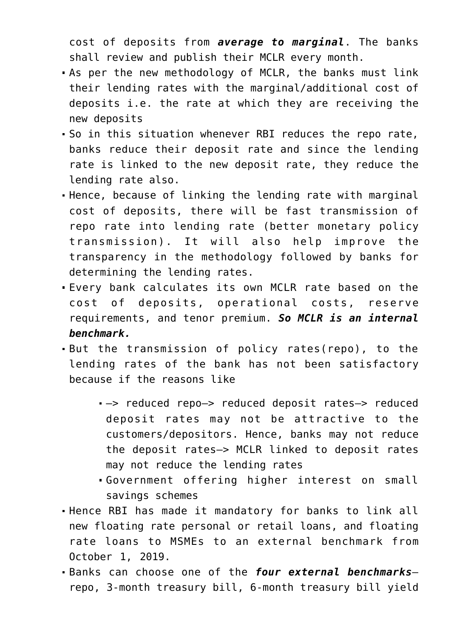cost of deposits from *average to marginal*. The banks shall review and publish their MCLR every month.

- As per the new methodology of MCLR, the banks must link their lending rates with the marginal/additional cost of deposits i.e. the rate at which they are receiving the new deposits
- So in this situation whenever RBI reduces the repo rate, banks reduce their deposit rate and since the lending rate is linked to the new deposit rate, they reduce the lending rate also.
- Hence, because of linking the lending rate with marginal cost of deposits, there will be fast transmission of repo rate into lending rate (better monetary policy transmission). It will also help improve the transparency in the methodology followed by banks for determining the lending rates.
- Every bank calculates its own MCLR rate based on the cost of deposits, operational costs, reserve requirements, and tenor premium. *So MCLR is an internal benchmark.*
- But the transmission of policy rates(repo), to the lending rates of the bank has not been satisfactory because if the reasons like
	- —> reduced repo—> reduced deposit rates—> reduced deposit rates may not be attractive to the customers/depositors. Hence, banks may not reduce the deposit rates—> MCLR linked to deposit rates may not reduce the lending rates
	- Government offering higher interest on small savings schemes
- Hence RBI has made it mandatory for banks to link all new floating rate personal or retail loans, and floating rate loans to MSMEs to an external benchmark from October 1, 2019.
- Banks can choose one of the *four external benchmarks* repo, 3-month treasury bill, 6-month treasury bill yield